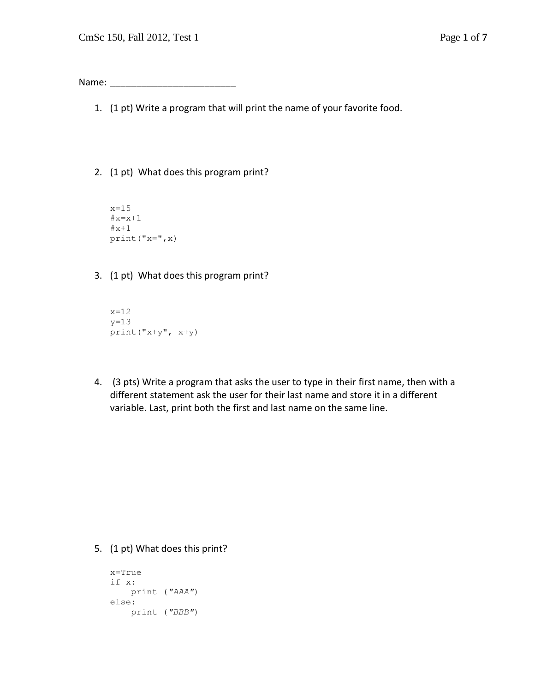Name:

- 1. (1 pt) Write a program that will print the name of your favorite food.
- 2. (1 pt) What does this program print?
	- $x=15$  $\#x=x+1$  $#x+1$ print("x=",x)
- 3. (1 pt) What does this program print?

```
x=12
y=13print("x+y", x+y)
```
4. (3 pts) Write a program that asks the user to type in their first name, then with a different statement ask the user for their last name and store it in a different variable. Last, print both the first and last name on the same line.

5. (1 pt) What does this print?

```
x=True
if x:
    print ("AAA")
else:
    print ("BBB")
```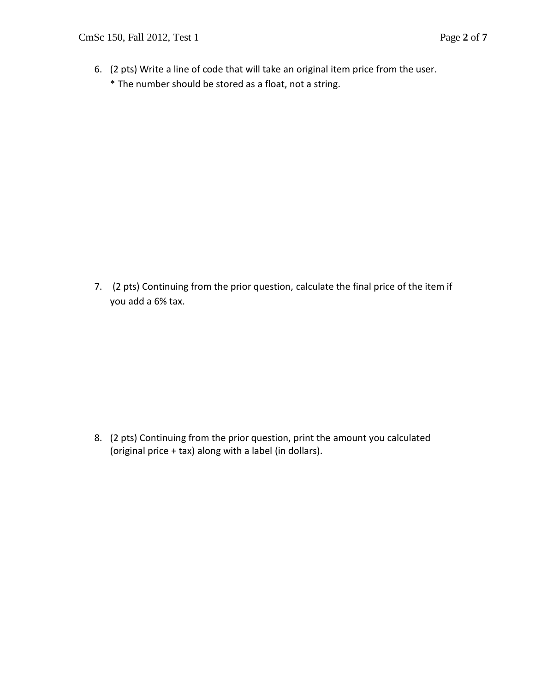6. (2 pts) Write a line of code that will take an original item price from the user. \* The number should be stored as a float, not a string.

7. (2 pts) Continuing from the prior question, calculate the final price of the item if you add a 6% tax.

8. (2 pts) Continuing from the prior question, print the amount you calculated (original price + tax) along with a label (in dollars).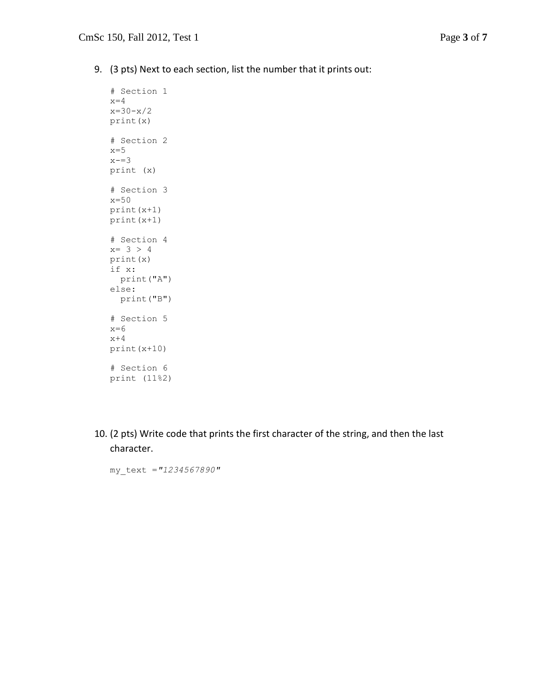9. (3 pts) Next to each section, list the number that it prints out:

```
# Section 1
x=4x=30-x/2print(x)
# Section 2
x=5x = -3print (x)
# Section 3
x=50
print(x+1)
print(x+1)
# Section 4
x= 3 > 4print(x)
if x:
  print("A")
else:
  print("B")
# Section 5
x=6x+4print(x+10)
# Section 6
print (11%2)
```
10. (2 pts) Write code that prints the first character of the string, and then the last character.

my\_text =*"1234567890"*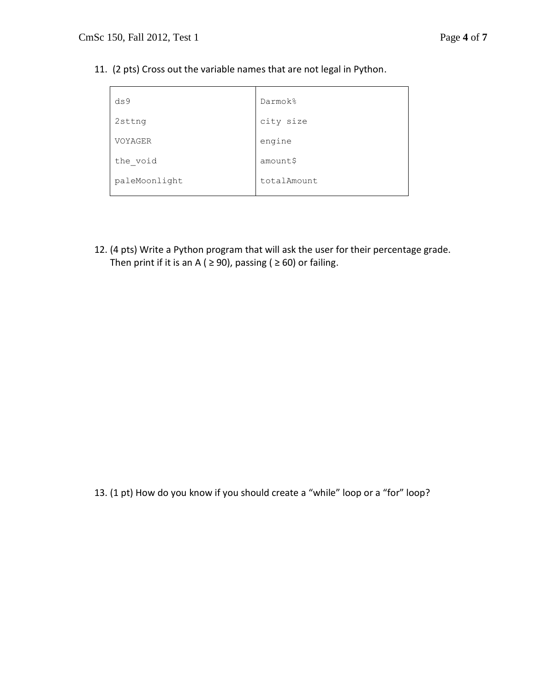11. (2 pts) Cross out the variable names that are not legal in Python.

| ds <sub>9</sub> | Darmok%     |
|-----------------|-------------|
| 2sttng          | city size   |
| VOYAGER         | engine      |
| the void        | amount\$    |
| paleMoonlight   | totalAmount |

12. (4 pts) Write a Python program that will ask the user for their percentage grade. Then print if it is an A (  $\geq$  90), passing (  $\geq$  60) or failing.

13. (1 pt) How do you know if you should create a "while" loop or a "for" loop?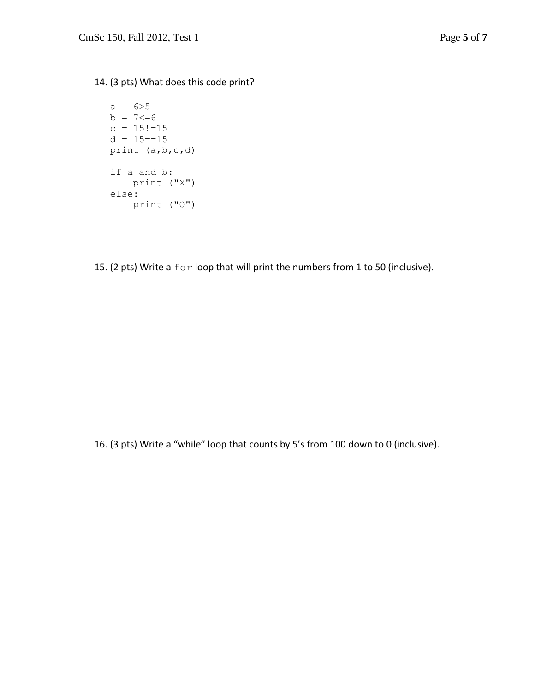14. (3 pts) What does this code print?

```
a = 6 > 5b = 7 \le -6c = 15! = 15d = 15 == 15print (a,b,c,d)
if a and b:
    print ("X")
else:
    print ("O")
```
15. (2 pts) Write a for loop that will print the numbers from 1 to 50 (inclusive).

16. (3 pts) Write a "while" loop that counts by 5's from 100 down to 0 (inclusive).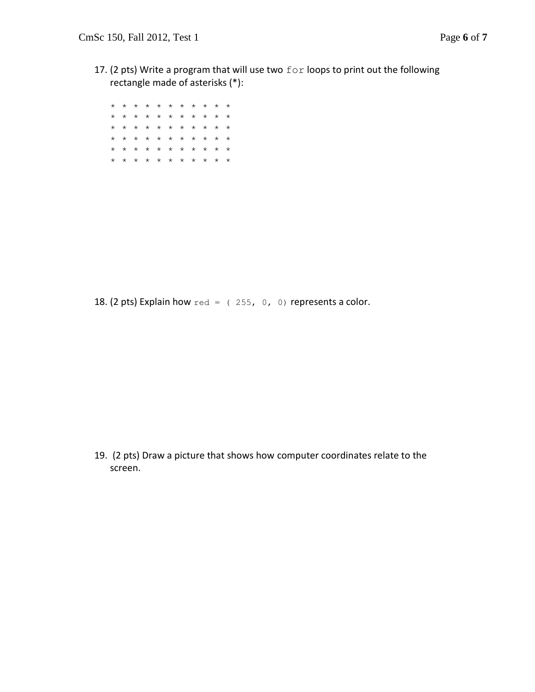17. (2 pts) Write a program that will use two for loops to print out the following rectangle made of asterisks (\*):

\* \* \* \* \* \* \* \* \* \* \* \* \* \* \* \* \* \* \* \* \* \* \* \* \* \* \* \* \* \* \* \* \* \* \* \* \* \* \* \* \* \* \* \* \* \* \* \* \* \* \* \* \* \* \* \* \* \* \* \* \* \* \* \* \* \*

18. (2 pts) Explain how  $red = (255, 0, 0)$  represents a color.

19. (2 pts) Draw a picture that shows how computer coordinates relate to the screen.